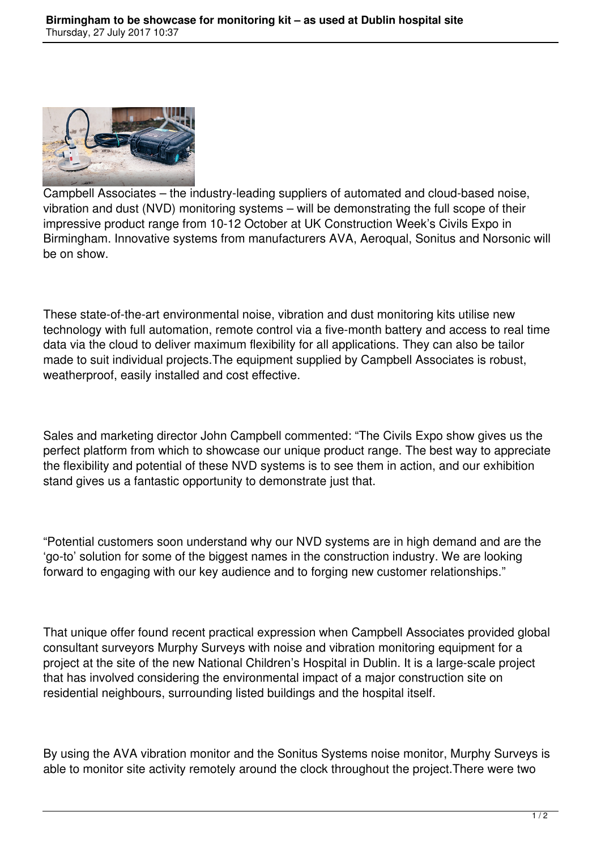

Campbell Associates – the industry-leading suppliers of automated and cloud-based noise, vibration and dust (NVD) monitoring systems – will be demonstrating the full scope of their impressive product range from 10-12 October at UK Construction Week's Civils Expo in Birmingham. Innovative systems from manufacturers AVA, Aeroqual, Sonitus and Norsonic will be on show.

These state-of-the-art environmental noise, vibration and dust monitoring kits utilise new technology with full automation, remote control via a five-month battery and access to real time data via the cloud to deliver maximum flexibility for all applications. They can also be tailor made to suit individual projects.The equipment supplied by Campbell Associates is robust, weatherproof, easily installed and cost effective.

Sales and marketing director John Campbell commented: "The Civils Expo show gives us the perfect platform from which to showcase our unique product range. The best way to appreciate the flexibility and potential of these NVD systems is to see them in action, and our exhibition stand gives us a fantastic opportunity to demonstrate just that.

"Potential customers soon understand why our NVD systems are in high demand and are the 'go-to' solution for some of the biggest names in the construction industry. We are looking forward to engaging with our key audience and to forging new customer relationships."

That unique offer found recent practical expression when Campbell Associates provided global consultant surveyors Murphy Surveys with noise and vibration monitoring equipment for a project at the site of the new National Children's Hospital in Dublin. It is a large-scale project that has involved considering the environmental impact of a major construction site on residential neighbours, surrounding listed buildings and the hospital itself.

By using the AVA vibration monitor and the Sonitus Systems noise monitor, Murphy Surveys is able to monitor site activity remotely around the clock throughout the project.There were two